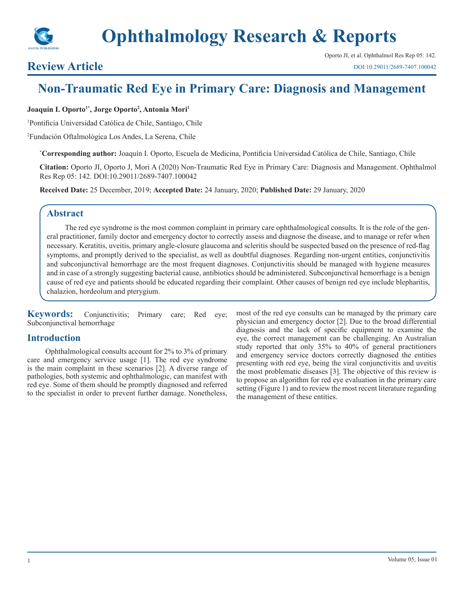

## **Review Article**

# **Non-Traumatic Red Eye in Primary Care: Diagnosis and Management**

**Joaquín I. Oporto1\*, Jorge Oporto2 , Antonia Mori1**

1 Pontificia Universidad Católica de Chile, Santiago, Chile

2 Fundación Oftalmológica Los Andes, La Serena, Chile

**\* Corresponding author:** Joaquín I. Oporto, Escuela de Medicina, Pontificia Universidad Católica de Chile, Santiago, Chile

**Citation:** Oporto JI, Oporto J, Mori A (2020) Non-Traumatic Red Eye in Primary Care: Diagnosis and Management. Ophthalmol Res Rep 05: 142. DOI:10.29011/2689-7407.100042

**Received Date:** 25 December, 2019; **Accepted Date:** 24 January, 2020; **Published Date:** 29 January, 2020

## **Abstract**

The red eye syndrome is the most common complaint in primary care ophthalmological consults. It is the role of the general practitioner, family doctor and emergency doctor to correctly assess and diagnose the disease, and to manage or refer when necessary. Keratitis, uveitis, primary angle-closure glaucoma and scleritis should be suspected based on the presence of red-flag symptoms, and promptly derived to the specialist, as well as doubtful diagnoses. Regarding non-urgent entities, conjunctivitis and subconjunctival hemorrhage are the most frequent diagnoses. Conjunctivitis should be managed with hygiene measures and in case of a strongly suggesting bacterial cause, antibiotics should be administered. Subconjunctival hemorrhage is a benign cause of red eye and patients should be educated regarding their complaint. Other causes of benign red eye include blepharitis, chalazion, hordeolum and pterygium.

**Keywords:** Conjunctivitis; Primary care; Red eye; Subconjunctival hemorrhage

## **Introduction**

Ophthalmological consults account for 2% to 3% of primary care and emergency service usage [1]. The red eye syndrome is the main complaint in these scenarios [2]. A diverse range of pathologies, both systemic and ophthalmologic, can manifest with red eye. Some of them should be promptly diagnosed and referred to the specialist in order to prevent further damage. Nonetheless, most of the red eye consults can be managed by the primary care physician and emergency doctor [2]. Due to the broad differential diagnosis and the lack of specific equipment to examine the eye, the correct management can be challenging. An Australian study reported that only 35% to 40% of general practitioners and emergency service doctors correctly diagnosed the entities presenting with red eye, being the viral conjunctivitis and uveitis the most problematic diseases [3]. The objective of this review is to propose an algorithm for red eye evaluation in the primary care setting (Figure 1) and to review the most recent literature regarding the management of these entities.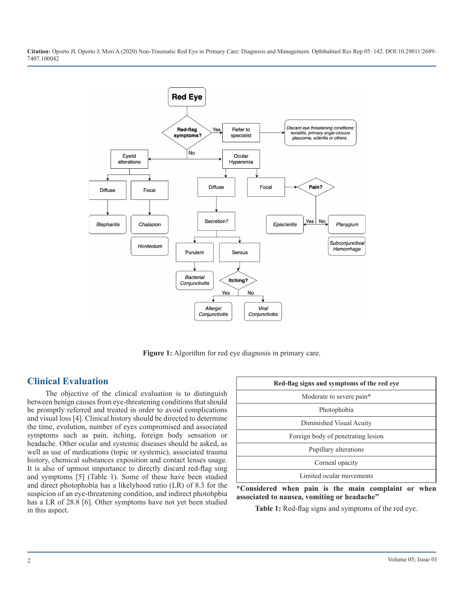

**Figure 1:** Algorithm for red eye diagnosis in primary care.

## **Clinical Evaluation**

The objective of the clinical evaluation is to distinguish between benign causes from eye-threatening conditions that should be promptly referred and treated in order to avoid complications and visual loss [4]. Clinical history should be directed to determine the time, evolution, number of eyes compromised and associated symptoms such as pain, itching, foreign body sensation or headache. Other ocular and systemic diseases should be asked, as well as use of medications (topic or systemic), associated trauma history, chemical substances exposition and contact lenses usage. It is also of upmost importance to directly discard red-flag sing and symptoms [5] (Table 1). Some of these have been studied and direct photophobia has a likelyhood ratio (LR) of 8.3 for the suspicion of an eye-threatening condition, and indirect photohpbia has a LR of 28.8 [6]. Other symptoms have not yet been studied in this aspect.

| Red-flag signs and symptoms of the red eye |  |
|--------------------------------------------|--|
| Moderate to severe pain*                   |  |
| Photophobia                                |  |
| Diminished Visual Acuity                   |  |
| Foreign body of penetrating lesion         |  |
| Pupillary alterations                      |  |
| Corneal opacity                            |  |
| Limited ocular movements                   |  |

**\*Considered when pain is the main complaint or when associated to nausea, vomiting or headache"**

**Table 1:** Red-flag signs and symptoms of the red eye.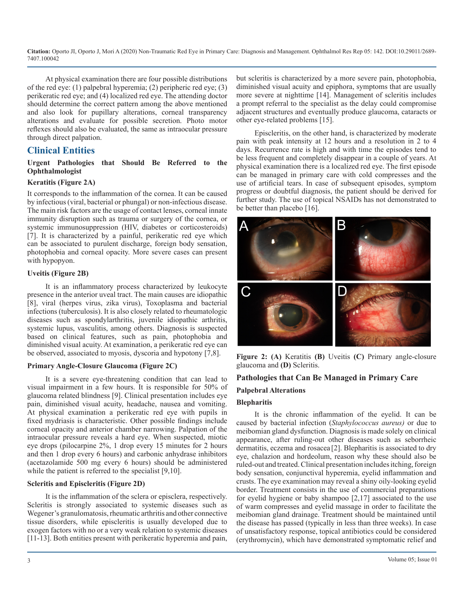At physical examination there are four possible distributions of the red eye: (1) palpebral hyperemia; (2) peripheric red eye; (3) perikeratic red eye; and (4) localized red eye. The attending doctor should determine the correct pattern among the above mentioned and also look for pupillary alterations, corneal transparency alterations and evaluate for possible secretion. Photo motor reflexes should also be evaluated, the same as intraocular pressure through direct palpation.

## **Clinical Entities**

#### **Urgent Pathologies that Should Be Referred to the Ophthalmologist**

#### **Keratitis (Figure 2A)**

It corresponds to the inflammation of the cornea. It can be caused by infectious (viral, bacterial or phungal) or non-infectious disease. The main risk factors are the usage of contact lenses, corneal innate immunity disruption such as trauma or surgery of the cornea, or systemic immunosuppression (HIV, diabetes or corticosteroids) [7]. It is characterized by a painful, perikeratic red eye which can be associated to purulent discharge, foreign body sensation, photophobia and corneal opacity. More severe cases can present with hypopyon.

#### **Uveitis (Figure 2B)**

It is an inflammatory process characterized by leukocyte presence in the anterior uveal tract. The main causes are idiopathic [8], viral (herpes virus, zika virus), Toxoplasma and bacterial infections (tuberculosis). It is also closely related to rheumatologic diseases such as spondylarthritis, juvenile idiopathic arthritis, systemic lupus, vasculitis, among others. Diagnosis is suspected based on clinical features, such as pain, photophobia and diminished visual acuity. At examination, a perikeratic red eye can be observed, associated to myosis, dyscoria and hypotony [7,8].

#### **Primary Angle-Closure Glaucoma (Figure 2C)**

It is a severe eye-threatening condition that can lead to visual impairment in a few hours. It is responsible for 50% of glaucoma related blindness [9]. Clinical presentation includes eye pain, diminished visual acuity, headache, nausea and vomiting. At physical examination a perikeratic red eye with pupils in fixed mydriasis is characteristic. Other possible findings include corneal opacity and anterior chamber narrowing. Palpation of the intraocular pressure reveals a hard eye. When suspected, miotic eye drops (pilocarpine 2%, 1 drop every 15 minutes for 2 hours and then 1 drop every 6 hours) and carbonic anhydrase inhibitors (acetazolamide 500 mg every 6 hours) should be administered while the patient is referred to the specialist [9,10].

#### **Scleritis and Episcleritis (Figure 2D)**

It is the inflammation of the sclera or episclera, respectively. Scleritis is strongly associated to systemic diseases such as Wegener's granulomatosis, rheumatic arthritis and other connective tissue disorders, while episcleritis is usually developed due to exogen factors with no or a very weak relation to systemic diseases [11-13]. Both entities present with perikeratic hyperemia and pain,

but scleritis is characterized by a more severe pain, photophobia, diminished visual acuity and epiphora, symptoms that are usually more severe at nighttime [14]. Management of scleritis includes a prompt referral to the specialist as the delay could compromise adjacent structures and eventually produce glaucoma, cataracts or other eye-related problems [15].

Episcleritis, on the other hand, is characterized by moderate pain with peak intensity at 12 hours and a resolution in 2 to 4 days. Recurrence rate is high and with time the episodes tend to be less frequent and completely disappear in a couple of years. At physical examination there is a localized red eye. The first episode can be managed in primary care with cold compresses and the use of artificial tears. In case of subsequent episodes, symptom progress or doubtful diagnosis, the patient should be derived for further study. The use of topical NSAIDs has not demonstrated to be better than placebo [16].



**Figure 2: (A)** Keratitis **(B)** Uveitis **(C)** Primary angle-closure glaucoma and **(D)** Scleritis.

## **Pathologies that Can Be Managed in Primary Care Palpebral Alterations Blepharitis**

It is the chronic inflammation of the eyelid. It can be caused by bacterial infection (*Staphylococcus aureus)* or due to meibomian gland dysfunction. Diagnosis is made solely on clinical appearance, after ruling-out other diseases such as seborrheic dermatitis, eczema and rosacea [2]. Blepharitis is associated to dry eye, chalazion and hordeolum, reason why these should also be ruled-out and treated. Clinical presentation includes itching, foreign body sensation, conjunctival hyperemia, eyelid inflammation and crusts. The eye examination may reveal a shiny oily-looking eyelid border. Treatment consists in the use of commercial preparations for eyelid hygiene or baby shampoo [2,17] associated to the use of warm compresses and eyelid massage in order to facilitate the meibomian gland drainage. Treatment should be maintained until the disease has passed (typically in less than three weeks). In case of unsatisfactory response, topical antibiotics could be considered (erythromycin), which have demonstrated symptomatic relief and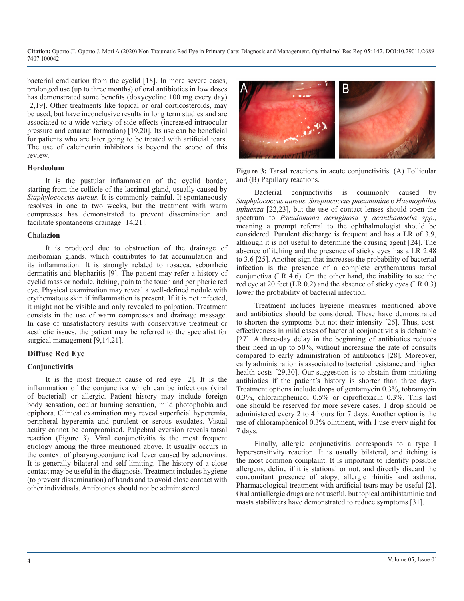bacterial eradication from the eyelid [18]. In more severe cases, prolonged use (up to three months) of oral antibiotics in low doses has demonstrated some benefits (doxycycline 100 mg every day) [2,19]. Other treatments like topical or oral corticosteroids, may be used, but have inconclusive results in long term studies and are associated to a wide variety of side effects (increased intraocular pressure and cataract formation) [19,20]. Its use can be beneficial for patients who are later going to be treated with artificial tears. The use of calcineurin inhibitors is beyond the scope of this review.

#### **Hordeolum**

It is the pustular inflammation of the eyelid border, starting from the collicle of the lacrimal gland, usually caused by *Staphylococcus aureus.* It is commonly painful. It spontaneously resolves in one to two weeks, but the treatment with warm compresses has demonstrated to prevent dissemination and facilitate spontaneous drainage [14,21].

#### **Chalazion**

It is produced due to obstruction of the drainage of meibomian glands, which contributes to fat accumulation and its inflammation. It is strongly related to rosacea, seborrheic dermatitis and blepharitis [9]. The patient may refer a history of eyelid mass or nodule, itching, pain to the touch and peripheric red eye. Physical examination may reveal a well-defined nodule with erythematous skin if inflammation is present. If it is not infected, it might not be visible and only revealed to palpation. Treatment consists in the use of warm compresses and drainage massage. In case of unsatisfactory results with conservative treatment or aesthetic issues, the patient may be referred to the specialist for surgical management [9,14,21].

#### **Diffuse Red Eye**

#### **Conjunctivitis**

It is the most frequent cause of red eye [2]. It is the inflammation of the conjunctiva which can be infectious (viral of bacterial) or allergic. Patient history may include foreign body sensation, ocular burning sensation, mild photophobia and epiphora. Clinical examination may reveal superficial hyperemia, peripheral hyperemia and purulent or serous exudates. Visual acuity cannot be compromised. Palpebral eversion reveals tarsal reaction (Figure 3). Viral conjunctivitis is the most frequent etiology among the three mentioned above. It usually occurs in the context of pharyngoconjunctival fever caused by adenovirus. It is generally bilateral and self-limiting. The history of a close contact may be useful in the diagnosis. Treatment includes hygiene (to prevent dissemination) of hands and to avoid close contact with other individuals. Antibiotics should not be administered.



**Figure 3:** Tarsal reactions in acute conjunctivitis. (A) Follicular and (B) Papillary reactions.

Bacterial conjunctivitis is commonly caused by *Staphylococcus aureus, Streptococcus pneumoniae* o *Haemophilus influenza* [22,23], but the use of contact lenses should open the spectrum to *Pseudomona aeruginosa* y *acanthamoeba spp*., meaning a prompt referral to the ophthalmologist should be considered. Purulent discharge is frequent and has a LR of 3.9, although it is not useful to determine the causing agent [24]. The absence of itching and the presence of sticky eyes has a LR 2.48 to 3.6 [25]. Another sign that increases the probability of bacterial infection is the presence of a complete erythematous tarsal conjunctiva (LR 4.6). On the other hand, the inability to see the red eye at 20 feet (LR 0.2) and the absence of sticky eyes (LR 0.3) lower the probability of bacterial infection.

Treatment includes hygiene measures mentioned above and antibiotics should be considered. These have demonstrated to shorten the symptoms but not their intensity [26]. Thus, costeffectiveness in mild cases of bacterial conjunctivitis is debatable [27]. A three-day delay in the beginning of antibiotics reduces their need in up to 50%, without increasing the rate of consults compared to early administration of antibiotics [28]. Moreover, early administration is associated to bacterial resistance and higher health costs [29,30]. Our suggestion is to abstain from initiating antibiotics if the patient's history is shorter than three days. Treatment options include drops of gentamycin 0.3%, tobramycin 0.3%, chloramphenicol 0.5% or ciprofloxacin 0.3%. This last one should be reserved for more severe cases. 1 drop should be administered every 2 to 4 hours for 7 days. Another option is the use of chloramphenicol 0.3% ointment, with 1 use every night for 7 days.

Finally, allergic conjunctivitis corresponds to a type I hypersensitivity reaction. It is usually bilateral, and itching is the most common complaint. It is important to identify possible allergens, define if it is stational or not, and directly discard the concomitant presence of atopy, allergic rhinitis and asthma. Pharmacological treatment with artificial tears may be useful [2]. Oral antiallergic drugs are not useful, but topical antihistaminic and masts stabilizers have demonstrated to reduce symptoms [31].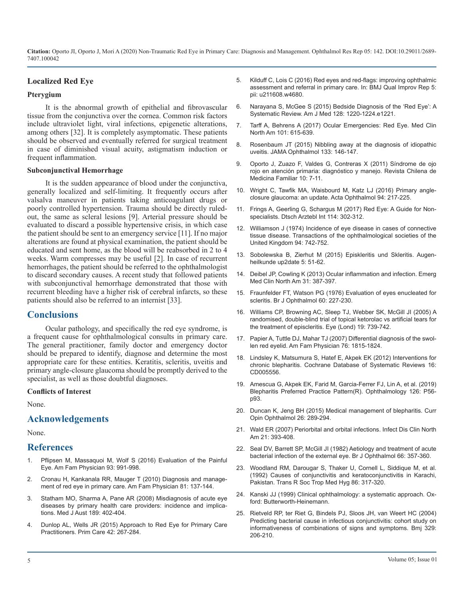### **Localized Red Eye**

#### **Pterygium**

It is the abnormal growth of epithelial and fibrovascular [tissue from the conjunctiva over the cornea. Common risk factors](https://www.ncbi.nlm.nih.gov/pubmed/26169885)  include ultraviolet light, viral infections, epigenetic alterations, [among others \[32\]. It is completely asymptomatic. These patients](https://www.ncbi.nlm.nih.gov/pubmed/28372717)  should be observed and eventually referred for surgical treatment [in case of diminished visual acuity, astigmatism induction or](https://www.ncbi.nlm.nih.gov/pubmed/25356928)  frequent inflammation.

#### **Subconjunctival Hemorrhage**

It is the sudden appearance of blood under the conjunctiva, generally localized and self-limiting. It frequently occurs after [valsalva maneuver in patients taking anticoagulant drugs or](https://www.ncbi.nlm.nih.gov/pubmed/26119516)  poorly controlled hypertension. Trauma should be directly ruled[out, the same as scleral lesions \[9\]. Arterial pressure should be](https://www.ncbi.nlm.nih.gov/pubmed/28530180)  evaluated to discard a possible hypertensive crisis, in which case the patient should be sent to an emergency service [11]. If no major alterations are found at physical examination, the patient should be educated and sent home, as the blood will be reabsorbed in 2 to 4 [weeks. Warm compresses may be useful \[2\]. In case of recurrent](https://www.thieme-connect.com/products/ejournals/abstract/10.1055/s-0033-1358099)  hemorrhages, the patient should be referred to the ophthalmologist to discard secondary causes. A recent study that followed patients [with subconjunctival hemorrhage demonstrated that those with](https://www.ncbi.nlm.nih.gov/pubmed/23601478)  recurrent bleeding have a higher risk of cerebral infarcts, so these [patients should also be referred to an internist \[33\].](https://www.ncbi.nlm.nih.gov/pubmed/1268181)

#### **Conclusions**

Ocular pathology, and specifically the red eye syndrome, is a frequent cause for ophthalmological consults in primary care. [The general practitioner, family doctor and emergency doctor](https://www.aafp.org/afp/2015/0715/p106.html)  should be prepared to identify, diagnose and determine the most [appropriate care for these entities. Keratitis, scleritis, uveitis and](https://www.ncbi.nlm.nih.gov/pubmed/22592706)  primary angle-closure glaucoma should be promptly derived to the specialist, as well as those doubtful diagnoses.

#### **Conflicts of Interest**

None.

## **[Acknowledgements](https://www.ncbi.nlm.nih.gov/pubmed/26058027)**

None.

#### **References**

- 1. [Pflipsen M, Massaquoi M, Wolf S \(2016\) Evaluation of the Painful](https://www.aafp.org/afp/2016/0615/p991.html)  Eye. [Am Fam Physician 93: 991-998.](https://www.aafp.org/afp/2016/0615/p991.html)
- 2. [Cronau H, Kankanala RR, Mauger T \(2010\) Diagnosis and manage](https://www.aafp.org/afp/2010/0115/p137.html)ment of red eye in primary care. [Am Fam Physician 81: 137-144.](https://www.aafp.org/afp/2010/0115/p137.html)
- 3. [Statham MO, Sharma A, Pane AR \(2008\) Misdiagnosis of acute eye](https://www.ncbi.nlm.nih.gov/pubmed/18837685) [diseases by primary health care providers: incidence and implica](https://www.ncbi.nlm.nih.gov/pubmed/18837685)tions. [Med J Aust 189: 402-404.](https://www.ncbi.nlm.nih.gov/pubmed/18837685)
- 4. [Dunlop AL, Wells JR \(2015\) Approach to Red Eye for Primary Care](https://www.ncbi.nlm.nih.gov/pubmed/26319338)  Practitioners. [Prim Care 42: 267-284.](https://www.ncbi.nlm.nih.gov/pubmed/26319338)
- 5. [Kilduff C, Lois C \(2016\) Red eyes and red-flags: improving ophthalmic](https://www.ncbi.nlm.nih.gov/pubmed/27493748)  [assessment and referral in primary care. In:](https://www.ncbi.nlm.nih.gov/pubmed/27493748) BMJ Qual Improv Rep 5: [pii: u211608.w4680.](https://www.ncbi.nlm.nih.gov/pubmed/27493748)
- 6. [Narayana S, McGee S \(2015\) Bedside Diagnosis of the 'Red Eye': A](https://www.ncbi.nlm.nih.gov/pubmed/26169885)  Systematic Review. Am J Med 128: 1220-1224.e1221.
- 7. [Tarff A, Behrens A \(2017\) Ocular Emergencies: Red Eye.](https://www.ncbi.nlm.nih.gov/pubmed/28372717) Med Clin North Am 101: 615-639.
- 8. [Rosenbaum JT \(2015\) Nibbling away at the diagnosis of idiopathic](https://www.ncbi.nlm.nih.gov/pubmed/25356928)  uveitis. JAMA Ophthalmol 133: 146-147.
- 9. Oporto J, Zuazo F, Valdes G, Contreras X (2011) Síndrome de ojo rojo en atención primaria: diagnóstico y manejo. Revista Chilena de Medicina Familiar 10: 7-11.
- 10. [Wright C, Tawfik MA, Waisbourd M, Katz LJ \(2016\) Primary angle](https://www.ncbi.nlm.nih.gov/pubmed/26119516)closure glaucoma: an update. Acta Ophthalmol 94: 217-225.
- 11. [Frings A, Geerling G, Schargus M \(2017\) Red Eye: A Guide for Non](https://www.ncbi.nlm.nih.gov/pubmed/28530180)specialists. Dtsch Arztebl Int 114: 302-312.
- 12. Williamson J (1974) Incidence of eye disease in cases of connective tissue disease. Transactions of the ophthalmological societies of the United Kingdom 94: 742-752.
- 13. [Sobolewska B, Zierhut M \(2015\) Episkleritis und Skleritis.](https://www.thieme-connect.com/products/ejournals/abstract/10.1055/s-0033-1358099) Augenheilkunde up2date 5: 51-62.
- 14. [Deibel JP, Cowling K \(2013\) Ocular inflammation and infection.](https://www.ncbi.nlm.nih.gov/pubmed/23601478) Emerg Med Clin North Am 31: 387-397.
- 15. [Fraunfelder FT, Watson PG \(1976\) Evaluation of eyes enucleated for](https://www.ncbi.nlm.nih.gov/pubmed/1268181)  scleritis. Br J Ophthalmol 60: 227-230.
- 16. [Williams CP, Browning AC, Sleep TJ, Webber SK, McGill JI \(2005\) A](https://www.ncbi.nlm.nih.gov/pubmed/15359265)  [randomised, double-blind trial of topical ketorolac vs artificial tears for](https://www.ncbi.nlm.nih.gov/pubmed/15359265) [the treatment of episcleritis.](https://www.ncbi.nlm.nih.gov/pubmed/15359265) Eye (Lond) 19: 739-742.
- 17. [Papier A, Tuttle DJ, Mahar TJ \(2007\)](https://www.aafp.org/afp/2015/0715/p106.html) Differential diagnosis of the swollen red eyelid. Am Fam Physician 76: 1815-1824.
- 18. [Lindsley K, Matsumura S, Hatef E, Akpek EK \(2012\) Interventions for](https://www.ncbi.nlm.nih.gov/pubmed/22592706)  chronic blepharitis. Cochrane Database of Systematic Reviews 16: [CD005556.](https://www.ncbi.nlm.nih.gov/pubmed/22592706)
- 19. [Amescua G, Akpek EK, Farid M, Garcia-Ferrer FJ, Lin A, et al. \(2019\)](https://www.ncbi.nlm.nih.gov/pubmed/30366800)  [Blepharitis Preferred Practice Pattern\(R\).](https://www.ncbi.nlm.nih.gov/pubmed/30366800) Ophthalmology 126: P56 [p93.](https://www.ncbi.nlm.nih.gov/pubmed/30366800)
- 20. [Duncan K, Jeng BH \(2015\) Medical management of blepharitis.](https://www.ncbi.nlm.nih.gov/pubmed/26058027) Curr Opin Ophthalmol 26: 289-294.
- 21. [Wald ER \(2007\) Periorbital and orbital infections.](https://www.ncbi.nlm.nih.gov/pubmed/17561075) Infect Dis Clin North [Am 21: 393-408.](https://www.ncbi.nlm.nih.gov/pubmed/17561075)
- 22. [Seal DV, Barrett SP, McGill JI \(1982\) Aetiology and treatment of acute](https://www.ncbi.nlm.nih.gov/pubmed/7082605) [bacterial infection of the external eye.](https://www.ncbi.nlm.nih.gov/pubmed/7082605) Br J Ophthalmol 66: 357-360.
- 23. [Woodland RM, Darougar S, Thaker U, Cornell L, Siddique M, et al.](https://www.ncbi.nlm.nih.gov/pubmed/1412664) [\(1992\) Causes of conjunctivitis and keratoconjunctivitis in Karachi,](https://www.ncbi.nlm.nih.gov/pubmed/1412664)  Pakistan. [Trans R Soc Trop Med Hyg 86: 317-320.](https://www.ncbi.nlm.nih.gov/pubmed/1412664)
- 24. Kanski JJ (1999) [Clinical ophthalmology: a systematic approach.](https://www.elsevier.com/books/kanskis-clinical-ophthalmology/kanski/978-0-7020-5572-0) Oxford: Butterworth-Heinemann.
- 25. [Rietveld RP, ter Riet G, Bindels PJ, Sloos JH, van Weert HC \(2004\)](https://www.bmj.com/content/329/7459/206)  [Predicting bacterial cause in infectious conjunctivitis: cohort study on](https://www.bmj.com/content/329/7459/206)  [informativeness of combinations of signs and symptoms.](https://www.bmj.com/content/329/7459/206) Bmj 329: [206-210.](https://www.bmj.com/content/329/7459/206)